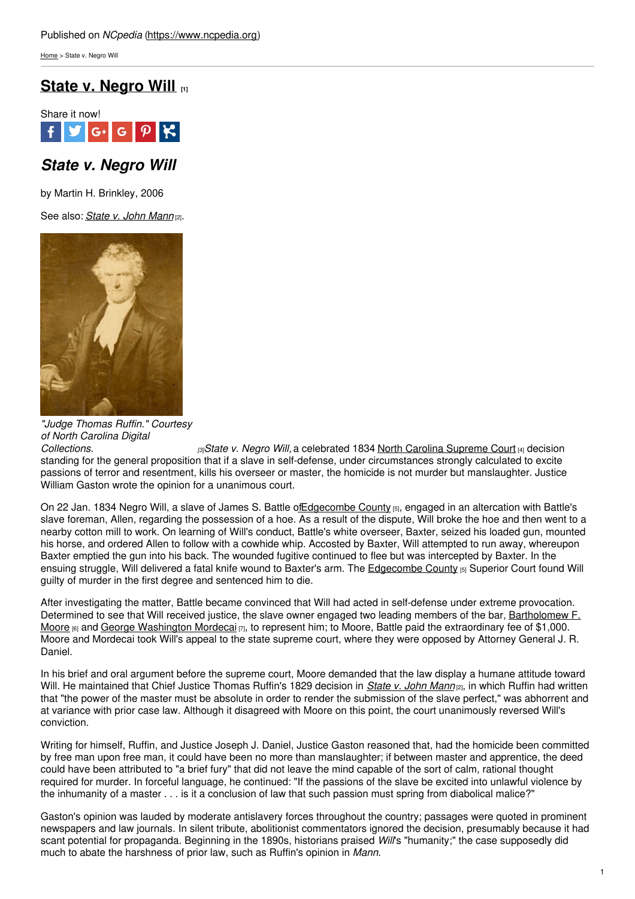[Home](https://www.ncpedia.org/) > State v. Negro Will

# **State v. [Negro](https://www.ncpedia.org/state-v-negro-will) Will [1]**



## *State v. Negro Will*

by Martin H. Brinkley, 2006

See also: *[State](https://www.ncpedia.org/state-v-john-mann) v. John Mann* [2].



*"Judge Thomas Ruffin." Courtesy of North Carolina Digital*

*[Collections.](http://digital.ncdcr.gov/cdm4/document.php?CISOROOT=/p249901coll37&CISOPTR=5125&CISOSHOW=5087) [3]State v. Negro Will,* a celebrated 1834 North Carolina [Supreme](https://www.ncpedia.org/supreme-court-north-carolina) Court [4] decision standing for the general proposition that if a slave in self-defense, under circumstances strongly calculated to excite passions of terror and resentment, kills his overseer or master, the homicide is not murder but manslaughter. Justice William Gaston wrote the opinion for a unanimous court.

On 22 Jan. 1834 Negro Will, a slave of James S. Battle of Edgecombe County [5], engaged in an altercation with Battle's slave foreman, Allen, regarding the possession of a hoe. As a result of the dispute, Will broke the hoe and then went to a nearby cotton mill to work. On learning of Will's conduct, Battle's white overseer, Baxter, seized his loaded gun, mounted his horse, and ordered Allen to follow with a cowhide whip. Accosted by Baxter, Will attempted to run away, whereupon Baxter emptied the gun into his back. The wounded fugitive continued to flee but was intercepted by Baxter. In the ensuing struggle, Will delivered a fatal knife wound to Baxter's arm. The [Edgecombe](https://www.ncpedia.org/geography/edgecombe) County [5] Superior Court found Will guilty of murder in the first degree and sentenced him to die.

After investigating the matter, Battle became convinced that Will had acted in self-defense under extreme provocation. Determined to see that Will received justice, the slave owner engaged two leading members of the bar, [Bartholomew](https://www.ncpedia.org/biography/moore-bartholomew-figures) F. Moore  $[6]$  and George [Washington](https://www.ncpedia.org/biography/mordecai-george) Mordecai  $[7]$ , to represent him; to Moore, Battle paid the extraordinary fee of \$1,000. Moore and Mordecai took Will's appeal to the state supreme court, where they were opposed by Attorney General J. R. Daniel.

In his brief and oral argument before the supreme court, Moore demanded that the law display a humane attitude toward Will. He maintained that Chief Justice Thomas Ruffin's 1829 decision in *[State](https://www.ncpedia.org/state-v-john-mann) v. John Mann* [2], in which Ruffin had written that "the power of the master must be absolute in order to render the submission of the slave perfect," was abhorrent and at variance with prior case law. Although it disagreed with Moore on this point, the court unanimously reversed Will's conviction.

Writing for himself, Ruffin, and Justice Joseph J. Daniel, Justice Gaston reasoned that, had the homicide been committed by free man upon free man, it could have been no more than manslaughter; if between master and apprentice, the deed could have been attributed to "a brief fury" that did not leave the mind capable of the sort of calm, rational thought required for murder. In forceful language, he continued: "If the passions of the slave be excited into unlawful violence by the inhumanity of a master . . . is it a conclusion of law that such passion must spring from diabolical malice?"

Gaston's opinion was lauded by moderate antislavery forces throughout the country; passages were quoted in prominent newspapers and law journals. In silent tribute, abolitionist commentators ignored the decision, presumably because it had scant potential for propaganda. Beginning in the 1890s, historians praised *Will*'s "humanity;" the case supposedly did much to abate the harshness of prior law, such as Ruffin's opinion in *Mann*.